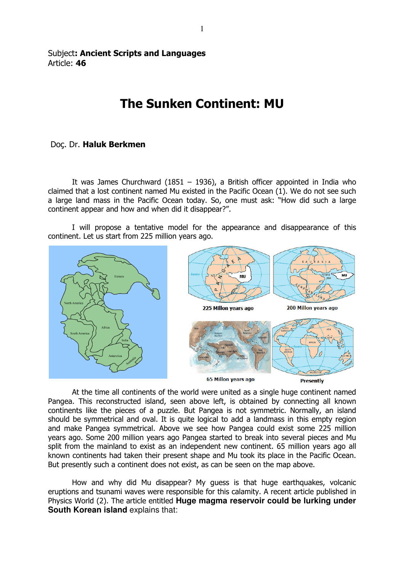## Subject: Ancient Scripts and Languages Article: 46

## The Sunken Continent: MU

## Doç. Dr. Haluk Berkmen

It was James Churchward (1851 – 1936), a British officer appointed in India who claimed that a lost continent named Mu existed in the Pacific Ocean (1). We do not see such a large land mass in the Pacific Ocean today. So, one must ask: "How did such a large continent appear and how and when did it disappear?".

 I will propose a tentative model for the appearance and disappearance of this continent. Let us start from 225 million years ago.



 At the time all continents of the world were united as a single huge continent named Pangea. This reconstructed island, seen above left, is obtained by connecting all known continents like the pieces of a puzzle. But Pangea is not symmetric. Normally, an island should be symmetrical and oval. It is quite logical to add a landmass in this empty region and make Pangea symmetrical. Above we see how Pangea could exist some 225 million years ago. Some 200 million years ago Pangea started to break into several pieces and Mu split from the mainland to exist as an independent new continent. 65 million years ago all known continents had taken their present shape and Mu took its place in the Pacific Ocean. But presently such a continent does not exist, as can be seen on the map above.

 How and why did Mu disappear? My guess is that huge earthquakes, volcanic eruptions and tsunami waves were responsible for this calamity. A recent article published in Physics World (2). The article entitled **Huge magma reservoir could be lurking under South Korean island explains that:**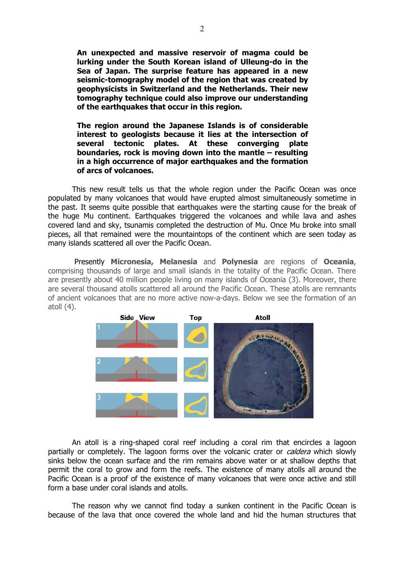An unexpected and massive reservoir of magma could be lurking under the South Korean island of Ulleung-do in the lurking under the South Korean island of Ulleung-do in the<br>Sea of Japan. The surprise feature has appeared in a new seismic-tomography model of the region that was created by geophysicists in Switzerland and the Netherlands. Their new tomography technique could also improve our understanding of the earthquakes that occur in this region. tomography model of the region tha<br>icists in Switzerland and the Nether<br>phy technique could also improve or<br>arthquakes that occur in this region.

The region around the Japanese Islands is of considerable interest to geologists because it lies at the intersection of several tectonic plates. At these converging plate boundaries, rock is moving down into the mantle – resulting in a high occurrence of major earthquakes and the formation of arcs of volcanoes.

This new result tells us that the whole region under the Pacific Ocean was once populated by many volcanoes that would have erupted almost simultaneously sometime in the past. It seems quite possible that earthquakes were the starting cause for the break of the huge Mu continent. Earthquakes triggered the volcanoes and while lava and ashes covered land and sky, tsunamis completed the destruction of Mu. Once Mu broke into small pieces, all that remained were the mountaintops of the continent which are seen today as many islands scattered all over the Pacific Ocean.

Presently Micronesia, Melanesia and Polynesia are regions of Oceania, comprising thousands of large and small islands in the totality of the Pacific Ocean. There are presently about 40 million people living on many islands of Oceania (3). Moreover, there are several thousand atolls scattered all around the Pacific Ocean. These atolls are remnants of ancient volcanoes that are no more active now-a-days. Below we see the formation of an atoll (4).



An atoll is a ring-shaped coral reef including a coral rim that encircles a partially or completely. The lagoon forms over the volcanic crater or *caldera* which slowly sinks below the ocean surface and the rim remains above water or at shallow depths that permit the coral to grow and form the reefs. The existence of many atolls all around the Pacific Ocean is a proof of the existence of many volcanoes that were once once active and still form a base under coral islands and atolls.

The reason why we cannot find today a sunken continent in the Pacific Ocean is because of the lava that once covered the whole land and hid the human structures that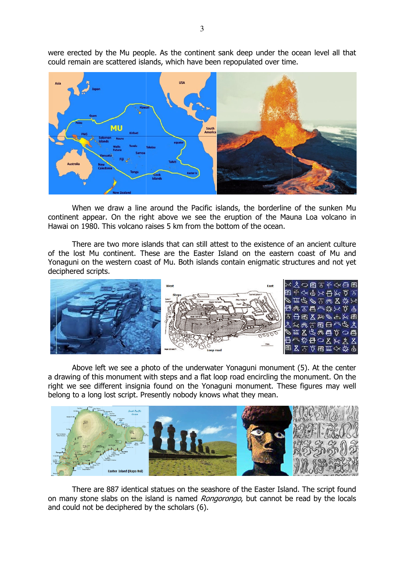were erected by the Mu people. As the continent sank deep under the ocean level all that could remain are scattered islands, which have been repopulated over time.



When we draw a line around the Pacific islands, the borderline of the sunken Mu continent appear. On the right above we see the eruption of the Mauna Loa volcano in Hawai on 1980. This volcano raises 5 km from the bottom of the ocean. continent appear. On the right above we see the eruption of the Mauna Loa volcano in<br>Hawai on 1980. This volcano raises 5 km from the bottom of the ocean.<br>There are two more islands that can still attest to the existence o

of the lost Mu continent. These are the Easter Island on the eastern coast of Mu and of the lost Mu continent. These are the Easter Island on the eastern coast of Mu and<br>Yonaguni on the western coast of Mu. Both islands contain enigmatic structures and not yet deciphered scripts.



Above left we see a photo of the underwater Yonaguni monument (5). At the center a drawing of this monument with steps and a flat loop road encircling the monument. On the right we see different insignia found on the Yonaguni monument. These figures may well belong to a long lost script. Presently nobody knows what they mean.



There are 887 identical statues on the seashore of the Easter Island. The script found on many stone slabs on the island is named *Rongorongo*, but cannot be read by the locals and could not be deciphered by the scholars (6).